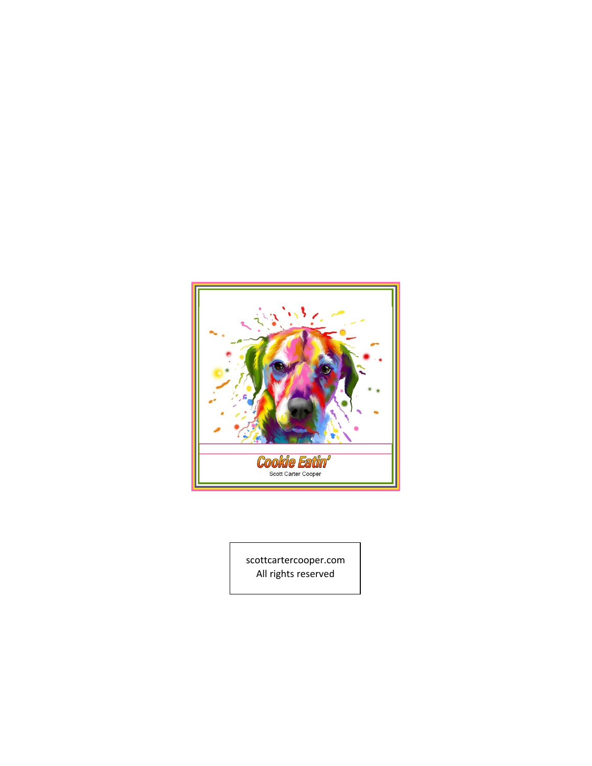

scottcartercooper.com [All rights reserved](mailto:ScotCoop@aol.com)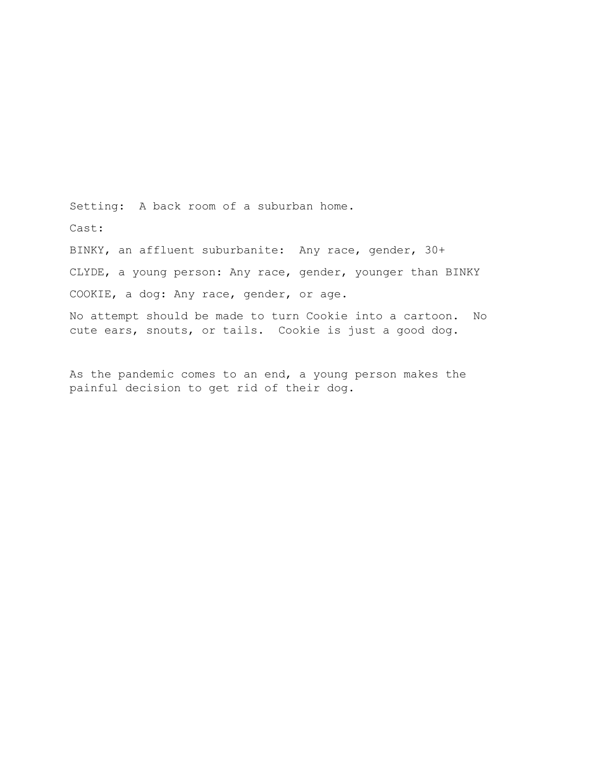Setting: A back room of a suburban home. Cast: BINKY, an affluent suburbanite: Any race, gender, 30+ CLYDE, a young person: Any race, gender, younger than BINKY COOKIE, a dog: Any race, gender, or age.

No attempt should be made to turn Cookie into a cartoon. No cute ears, snouts, or tails. Cookie is just a good dog.

As the pandemic comes to an end, a young person makes the painful decision to get rid of their dog.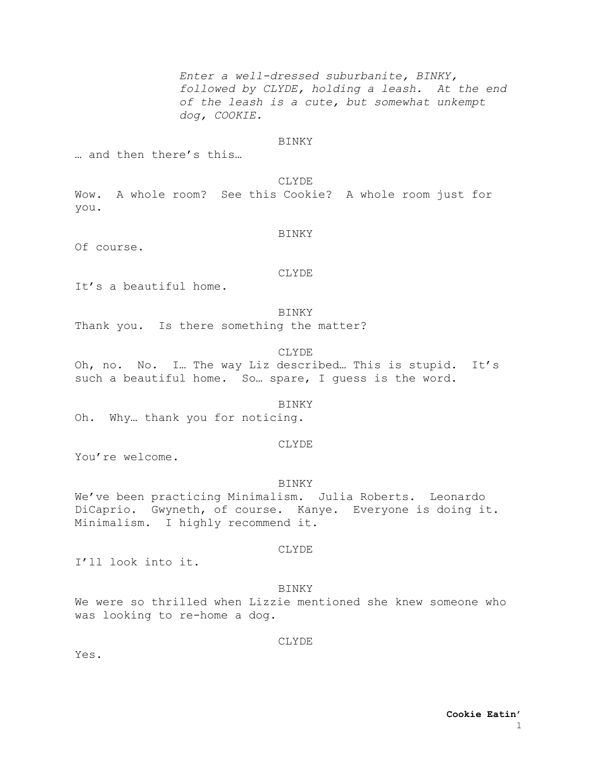*Enter a well-dressed suburbanite, BINKY, followed by CLYDE, holding a leash. At the end of the leash is a cute, but somewhat unkempt dog, COOKIE.*

#### BINKY

… and then there's this…

#### CLYDE

Wow. A whole room? See this Cookie? A whole room just for you.

#### BINKY

Of course.

#### CLYDE

It's a beautiful home.

#### BINKY

Thank you. Is there something the matter?

# CLYDE

Oh, no. No. I… The way Liz described… This is stupid. It's such a beautiful home. So… spare, I guess is the word.

# BINKY

Oh. Why… thank you for noticing.

#### CLYDE

You're welcome.

#### BINKY

We've been practicing Minimalism. Julia Roberts. Leonardo DiCaprio. Gwyneth, of course. Kanye. Everyone is doing it. Minimalism. I highly recommend it.

### CLYDE

I'll look into it.

## **BINKY**

We were so thrilled when Lizzie mentioned she knew someone who was looking to re-home a dog.

**CLYDE** 

Yes.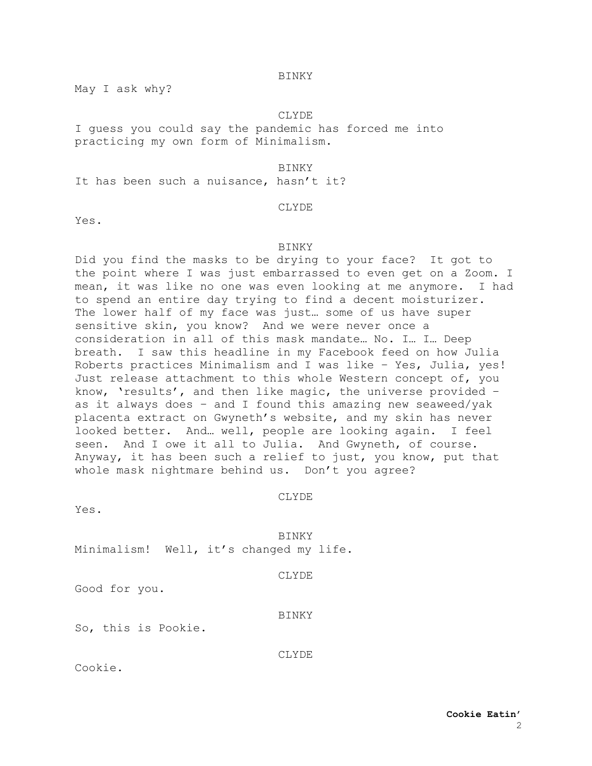May I ask why?

#### CLYDE

I guess you could say the pandemic has forced me into practicing my own form of Minimalism.

#### **BINKY**

It has been such a nuisance, hasn't it?

# CLYDE

Yes.

#### **BINKY**

Did you find the masks to be drying to your face? It got to the point where I was just embarrassed to even get on a Zoom. I mean, it was like no one was even looking at me anymore. I had to spend an entire day trying to find a decent moisturizer. The lower half of my face was just… some of us have super sensitive skin, you know? And we were never once a consideration in all of this mask mandate… No. I… I… Deep breath. I saw this headline in my Facebook feed on how Julia Roberts practices Minimalism and I was like – Yes, Julia, yes! Just release attachment to this whole Western concept of, you know, 'results', and then like magic, the universe provided – as it always does – and I found this amazing new seaweed/yak placenta extract on Gwyneth's website, and my skin has never looked better. And… well, people are looking again. I feel seen. And I owe it all to Julia. And Gwyneth, of course. Anyway, it has been such a relief to just, you know, put that whole mask nightmare behind us. Don't you agree?

#### CLYDE

Yes.

BINKY Minimalism! Well, it's changed my life.

Good for you.

#### BINKY

So, this is Pookie.

CLYDE

Cookie.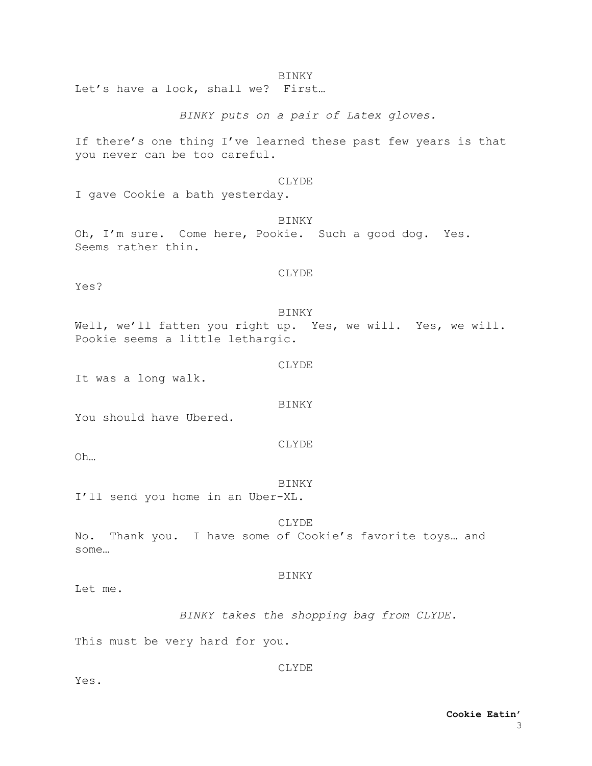Let's have a look, shall we? First…

*BINKY puts on a pair of Latex gloves.*

If there's one thing I've learned these past few years is that you never can be too careful.

# CLYDE

I gave Cookie a bath yesterday.

BINKY Oh, I'm sure. Come here, Pookie. Such a good dog. Yes. Seems rather thin.

CLYDE

Yes?

BINKY Well, we'll fatten you right up. Yes, we will. Yes, we will. Pookie seems a little lethargic.

CLYDE

It was a long walk.

#### BINKY

You should have Ubered.

CLYDE

Oh…

BINKY I'll send you home in an Uber-XL.

CLYDE No. Thank you. I have some of Cookie's favorite toys… and some…

# BINKY

Let me.

*BINKY takes the shopping bag from CLYDE.*

This must be very hard for you.

CLYDE

Yes.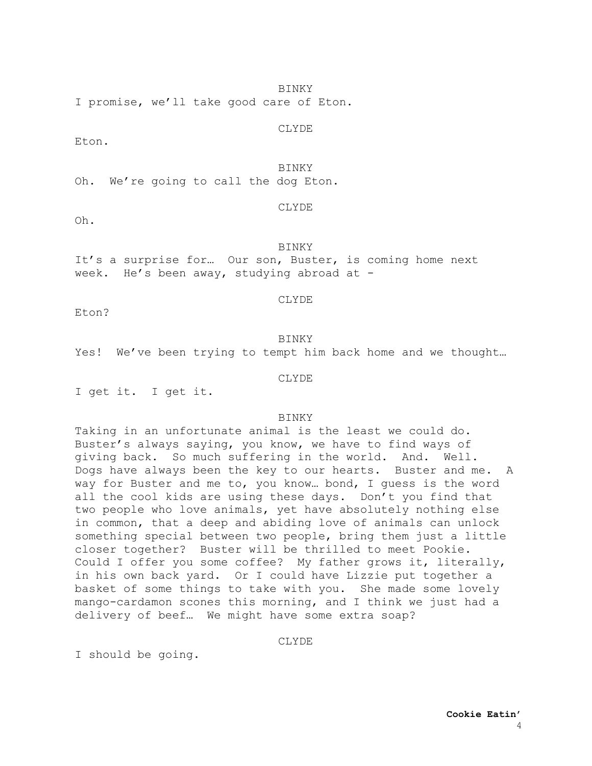I promise, we'll take good care of Eton.

CLYDE

Eton.

#### **BINKY**

Oh. We're going to call the dog Eton.

Oh.

# CLYDE

BINKY It's a surprise for… Our son, Buster, is coming home next

week. He's been away, studying abroad at -

#### CLYDE

Eton?

# BINKY

Yes! We've been trying to tempt him back home and we thought…

#### CLYDE

I get it. I get it.

# BINKY

Taking in an unfortunate animal is the least we could do. Buster's always saying, you know, we have to find ways of giving back. So much suffering in the world. And. Well. Dogs have always been the key to our hearts. Buster and me. A way for Buster and me to, you know... bond, I guess is the word all the cool kids are using these days. Don't you find that two people who love animals, yet have absolutely nothing else in common, that a deep and abiding love of animals can unlock something special between two people, bring them just a little closer together? Buster will be thrilled to meet Pookie. Could I offer you some coffee? My father grows it, literally, in his own back yard. Or I could have Lizzie put together a basket of some things to take with you. She made some lovely mango-cardamon scones this morning, and I think we just had a delivery of beef… We might have some extra soap?

#### CLYDE

I should be going.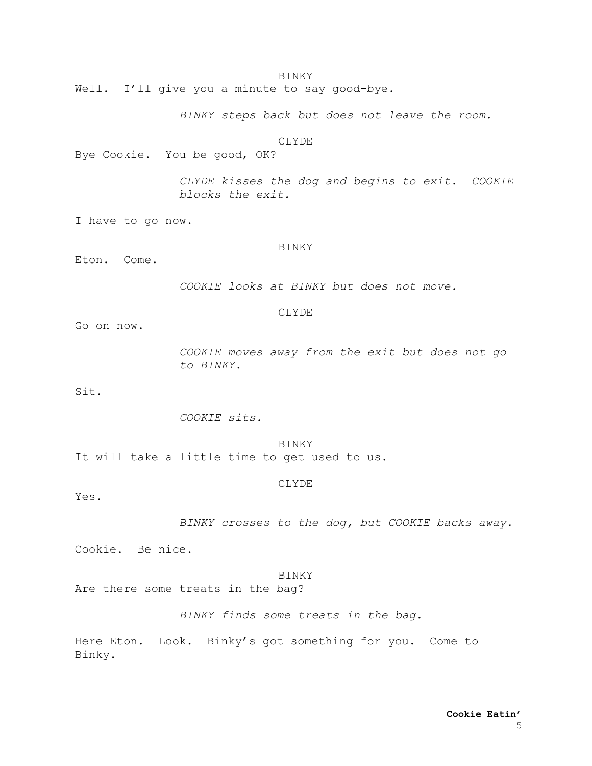Well. I'll give you a minute to say good-bye.

*BINKY steps back but does not leave the room.*

CLYDE

Bye Cookie. You be good, OK?

*CLYDE kisses the dog and begins to exit. COOKIE blocks the exit.*

I have to go now.

#### BINKY

Eton. Come.

*COOKIE looks at BINKY but does not move.*

#### CLYDE

Go on now.

*COOKIE moves away from the exit but does not go to BINKY.*

Sit.

*COOKIE sits.*

BINKY It will take a little time to get used to us.

#### CLYDE

Yes.

*BINKY crosses to the dog, but COOKIE backs away.*

Cookie. Be nice.

### BINKY

Are there some treats in the bag?

*BINKY finds some treats in the bag.*

Here Eton. Look. Binky's got something for you. Come to Binky.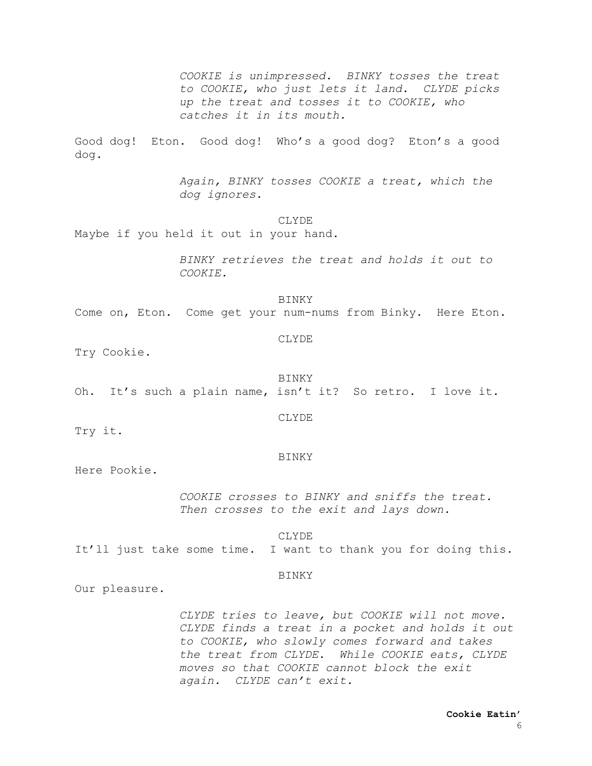*COOKIE is unimpressed. BINKY tosses the treat to COOKIE, who just lets it land. CLYDE picks up the treat and tosses it to COOKIE, who catches it in its mouth.*

Good dog! Eton. Good dog! Who's a good dog? Eton's a good dog.

> *Again, BINKY tosses COOKIE a treat, which the dog ignores.*

#### CLYDE

Maybe if you held it out in your hand.

*BINKY retrieves the treat and holds it out to COOKIE.*

BINKY Come on, Eton. Come get your num-nums from Binky. Here Eton.

Try Cookie.

BINKY

CLYDE

Oh. It's such a plain name, isn't it? So retro. I love it.

CLYDE

Try it.

BINKY

Here Pookie.

*COOKIE crosses to BINKY and sniffs the treat. Then crosses to the exit and lays down.*

CLYDE

It'll just take some time. I want to thank you for doing this.

# BINKY

Our pleasure.

*CLYDE tries to leave, but COOKIE will not move. CLYDE finds a treat in a pocket and holds it out to COOKIE, who slowly comes forward and takes the treat from CLYDE. While COOKIE eats, CLYDE moves so that COOKIE cannot block the exit again. CLYDE can't exit.*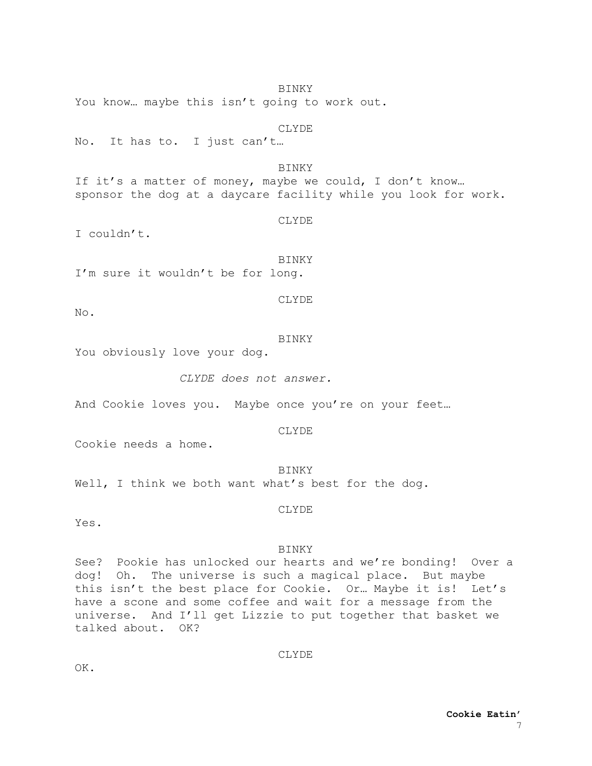BINKY You know… maybe this isn't going to work out.

# CLYDE

No. It has to. I just can't…

**BINKY** If it's a matter of money, maybe we could, I don't know... sponsor the dog at a daycare facility while you look for work.

CLYDE

I couldn't.

BINKY I'm sure it wouldn't be for long.

CLYDE

No.

BINKY

You obviously love your dog.

*CLYDE does not answer.*

And Cookie loves you. Maybe once you're on your feet…

CLYDE

Cookie needs a home.

**BINKY** 

Well, I think we both want what's best for the dog.

CLYDE

Yes.

# BINKY

See? Pookie has unlocked our hearts and we're bonding! Over a dog! Oh. The universe is such a magical place. But maybe this isn't the best place for Cookie. Or… Maybe it is! Let's have a scone and some coffee and wait for a message from the universe. And I'll get Lizzie to put together that basket we talked about. OK?

CLYDE

OK.